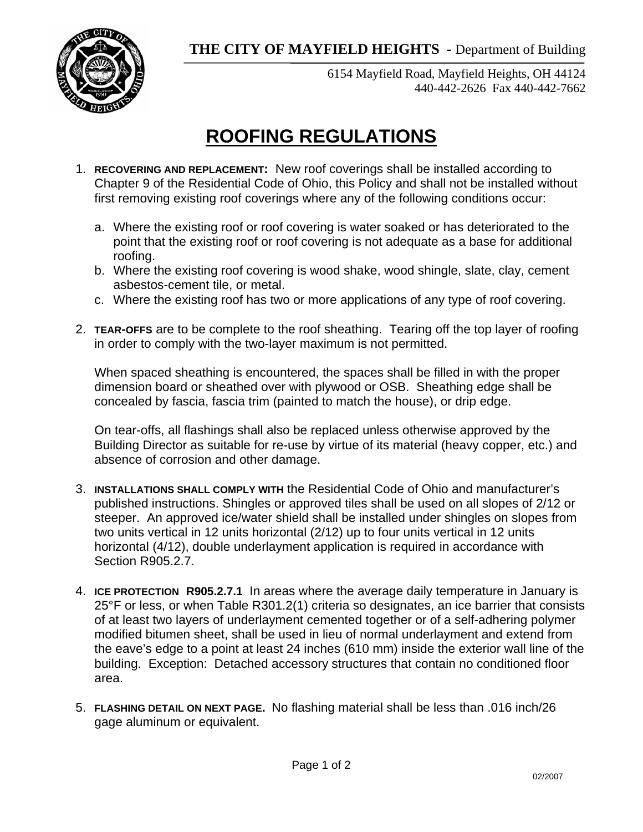**THE CITY OF MAYFIELD HEIGHTS -** Department of Building



6154 Mayfield Road, Mayfield Heights, OH 44124 440-442-2626 Fax 440-442-7662

## **ROOFING REGULATIONS**

- 1. **RECOVERING AND REPLACEMENT:** New roof coverings shall be installed according to Chapter 9 of the Residential Code of Ohio, this Policy and shall not be installed without first removing existing roof coverings where any of the following conditions occur:
	- a. Where the existing roof or roof covering is water soaked or has deteriorated to the point that the existing roof or roof covering is not adequate as a base for additional roofing.
	- b. Where the existing roof covering is wood shake, wood shingle, slate, clay, cement asbestos-cement tile, or metal.
	- c. Where the existing roof has two or more applications of any type of roof covering.
- 2. **TEAR-OFFS** are to be complete to the roof sheathing. Tearing off the top layer of roofing in order to comply with the two-layer maximum is not permitted.

When spaced sheathing is encountered, the spaces shall be filled in with the proper dimension board or sheathed over with plywood or OSB. Sheathing edge shall be concealed by fascia, fascia trim (painted to match the house), or drip edge.

On tear-offs, all flashings shall also be replaced unless otherwise approved by the Building Director as suitable for re-use by virtue of its material (heavy copper, etc.) and absence of corrosion and other damage.

- 3. **INSTALLATIONS SHALL COMPLY WITH** the Residential Code of Ohio and manufacturer's published instructions. Shingles or approved tiles shall be used on all slopes of 2/12 or steeper. An approved ice/water shield shall be installed under shingles on slopes from two units vertical in 12 units horizontal (2/12) up to four units vertical in 12 units horizontal (4/12), double underlayment application is required in accordance with Section R905.2.7.
- 4. **ICE PROTECTION R905.2.7.1** In areas where the average daily temperature in January is 25°F or less, or when Table R301.2(1) criteria so designates, an ice barrier that consists of at least two layers of underlayment cemented together or of a self-adhering polymer modified bitumen sheet, shall be used in lieu of normal underlayment and extend from the eave's edge to a point at least 24 inches (610 mm) inside the exterior wall line of the building. Exception: Detached accessory structures that contain no conditioned floor area.
- 5. **FLASHING DETAIL ON NEXT PAGE.** No flashing material shall be less than .016 inch/26 gage aluminum or equivalent.